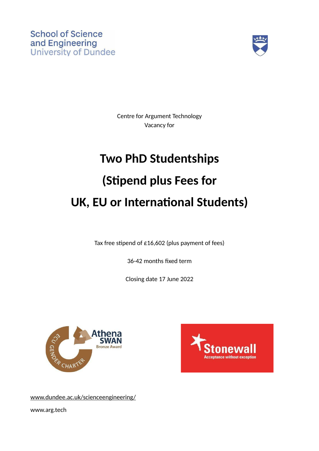

Centre for Argument Technology Vacancy for

# **Two PhD Studentships (Stipend plus Fees for UK, EU or International Students)**

Tax free stipend of  $£16,602$  (plus payment of fees)

36-42 months fixed term

Closing date 17 June 2022





www.dundee.ac.uk/scienceengineering/

www.arg.tech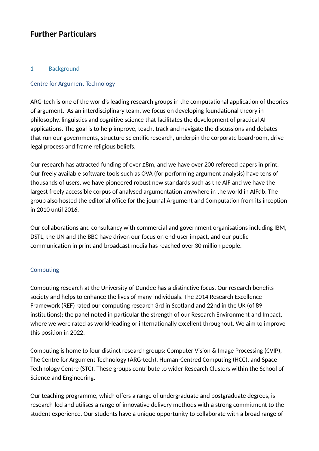# **Further Particulars**

# 1 Background

#### Centre for Argument Technology

ARG-tech is one of the world's leading research groups in the computational application of theories of argument. As an interdisciplinary team, we focus on developing foundational theory in philosophy, linguistics and cognitive science that facilitates the development of practical AI applications. The goal is to help improve, teach, track and navigate the discussions and debates that run our governments, structure scientific research, underpin the corporate boardroom, drive legal process and frame religious beliefs.

Our research has attracted funding of over £8m, and we have over 200 refereed papers in print. Our freely available software tools such as OVA (for performing argument analysis) have tens of thousands of users, we have pioneered robust new standards such as the AIF and we have the largest freely accessible corpus of analysed argumentation anywhere in the world in AIFdb. The group also hosted the editorial office for the journal Argument and Computation from its inception in 2010 until 2016.

Our collaborations and consultancy with commercial and government organisations including IBM, DSTL, the UN and the BBC have driven our focus on end-user impact, and our public communication in print and broadcast media has reached over 30 million people.

# Computing

Computing research at the University of Dundee has a distinctive focus. Our research benefits society and helps to enhance the lives of many individuals. The 2014 Research Excellence Framework (REF) rated our computing research 3rd in Scotland and 22nd in the UK (of 89 institutions); the panel noted in particular the strength of our Research Environment and Impact, where we were rated as world-leading or internationally excellent throughout. We aim to improve this position in 2022.

Computing is home to four distinct research groups: Computer Vision & Image Processing (CVIP), The Centre for Argument Technology (ARG-tech), Human-Centred Computing (HCC), and Space Technology Centre (STC). These groups contribute to wider Research Clusters within the School of Science and Engineering.

Our teaching programme, which offers a range of undergraduate and postgraduate degrees, is research-led and utilises a range of innovative delivery methods with a strong commitment to the student experience. Our students have a unique opportunity to collaborate with a broad range of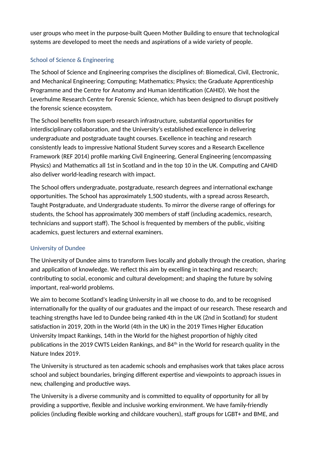user groups who meet in the purpose-built Queen Mother Building to ensure that technological systems are developed to meet the needs and aspirations of a wide variety of people.

# School of Science & Engineering

The School of Science and Engineering comprises the disciplines of: Biomedical, Civil, Electronic, and Mechanical Engineering; Computing; Mathematics; Physics; the Graduate Apprenticeship Programme and the Centre for Anatomy and Human Identification (CAHID). We host the Leverhulme Research Centre for Forensic Science, which has been designed to disrupt positively the forensic science ecosystem.

The School benefits from superb research infrastructure, substantial opportunities for interdisciplinary collaboration, and the University's established excellence in delivering undergraduate and postgraduate taught courses. Excellence in teaching and research consistently leads to impressive National Student Survey scores and a Research Excellence Framework (REF 2014) profile marking Civil Engineering, General Engineering (encompassing Physics) and Mathematics all 1st in Scotland and in the top 10 in the UK. Computing and CAHID also deliver world-leading research with impact.

The School offers undergraduate, postgraduate, research degrees and international exchange opportunities. The School has approximately 1,500 students, with a spread across Research, Taught Postgraduate, and Undergraduate students. To mirror the diverse range of offerings for students, the School has approximately 300 members of staff (including academics, research, technicians and support staff). The School is frequented by members of the public, visiting academics, guest lecturers and external examiners.

# University of Dundee

The University of Dundee aims to transform lives locally and globally through the creation, sharing and application of knowledge. We reflect this aim by excelling in teaching and research; contributing to social, economic and cultural development; and shaping the future by solving important, real-world problems.

We aim to become Scotland's leading University in all we choose to do, and to be recognised internationally for the quality of our graduates and the impact of our research. These research and teaching strengths have led to Dundee being ranked 4th in the UK (2nd in Scotland) for student satisfaction in 2019, 20th in the World (4th in the UK) in the 2019 Times Higher Education University Impact Rankings, 14th in the World for the highest proportion of highly cited publications in the 2019 CWTS Leiden Rankings, and 84<sup>th</sup> in the World for research quality in the Nature Index 2019.

The University is structured as ten academic schools and emphasises work that takes place across school and subject boundaries, bringing different expertise and viewpoints to approach issues in new, challenging and productive ways.

The University is a diverse community and is committed to equality of opportunity for all by providing a supportive, flexible and inclusive working environment. We have family-friendly policies (including flexible working and childcare vouchers), staff groups for LGBT+ and BME, and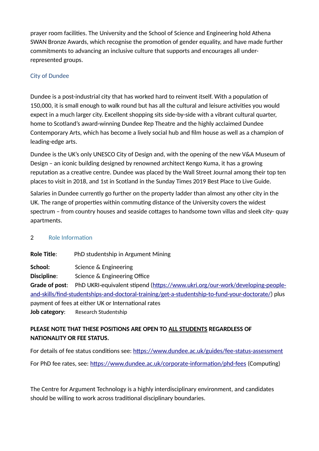prayer room facilities. The University and the School of Science and Engineering hold Athena SWAN Bronze Awards, which recognise the promotion of gender equality, and have made further commitments to advancing an inclusive culture that supports and encourages all underrepresented groups.

# City of Dundee

Dundee is a post-industrial city that has worked hard to reinvent itself. With a population of 150,000, it is small enough to walk round but has all the cultural and leisure activities you would expect in a much larger city. Excellent shopping sits side-by-side with a vibrant cultural quarter, home to Scotland's award-winning Dundee Rep Theatre and the highly acclaimed Dundee Contemporary Arts, which has become a lively social hub and film house as well as a champion of leading-edge arts.

Dundee is the UK's only UNESCO City of Design and, with the opening of the new V&A Museum of Design – an iconic building designed by renowned architect Kengo Kuma, it has a growing reputation as a creative centre. Dundee was placed by the Wall Street Journal among their top ten places to visit in 2018, and 1st in Scotland in the Sunday Times 2019 Best Place to Live Guide.

Salaries in Dundee currently go further on the property ladder than almost any other city in the UK. The range of properties within commuting distance of the University covers the widest spectrum – from country houses and seaside cottages to handsome town villas and sleek city- quay apartments.

# 2 Role Information

**Role Title**: PhD studentship in Argument Mining **School:** Science & Engineering **Discipline:** Science & Engineering Office **Grade of post**: PhD UKRI-equivalent stipend ([https://www.ukri.org/our-work/developing-people](https://www.ukri.org/our-work/developing-people-and-skills/find-studentships-and-doctoral-training/get-a-studentship-to-fund-your-doctorate/)[and-skills/find-studentships-and-doctoral-training/get-a-studentship-to-fund-your-doctorate/](https://www.ukri.org/our-work/developing-people-and-skills/find-studentships-and-doctoral-training/get-a-studentship-to-fund-your-doctorate/)) plus payment of fees at either UK or International rates

**Job category**: Research Studentship

# **PLEASE NOTE THAT THESE POSITIONS ARE OPEN TO ALL STUDENTS REGARDLESS OF NATIONALITY OR FEE STATUS.**

For details of fee status conditions see:<https://www.dundee.ac.uk/guides/fee-status-assessment> For PhD fee rates, see:<https://www.dundee.ac.uk/corporate-information/phd-fees>(Computing)

The Centre for Argument Technology is a highly interdisciplinary environment, and candidates should be willing to work across traditional disciplinary boundaries.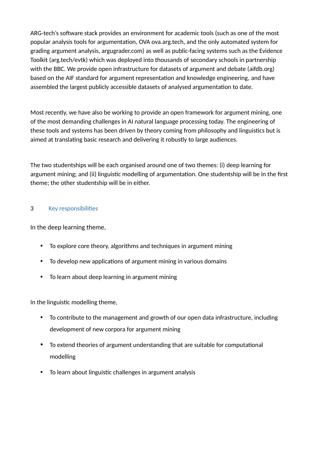ARG-tech's software stack provides an environment for academic tools (such as one of the most popular analysis tools for argumentation, OVA ova.arg.tech, and the only automated system for grading argument analysis, argugrader.com) as well as public-facing systems such as the Evidence Toolkit (arg.tech/evtk) which was deployed into thousands of secondary schools in partnership with the BBC. We provide open infrastructure for datasets of argument and debate (aifdb.org) based on the AIF standard for argument representation and knowledge engineering, and have assembled the largest publicly accessible datasets of analysed argumentation to date.

Most recently, we have also be working to provide an open framework for argument mining, one of the most demanding challenges in AI natural language processing today. The engineering of these tools and systems has been driven by theory coming from philosophy and linguistics but is aimed at translating basic research and delivering it robustly to large audiences.

The two studentships will be each organised around one of two themes: (i) deep learning for argument mining; and (ii) linguistic modelling of argumentation. One studentship will be in the first theme; the other studentship will be in either.

# 3 Key responsibilities

In the deep learning theme,

- To explore core theory, algorithms and techniques in argument mining
- To develop new applications of argument mining in various domains
- To learn about deep learning in argument mining

In the linguistic modelling theme,

- To contribute to the management and growth of our open data infrastructure, including development of new corpora for argument mining
- To extend theories of argument understanding that are suitable for computational modelling
- To learn about linguistic challenges in argument analysis